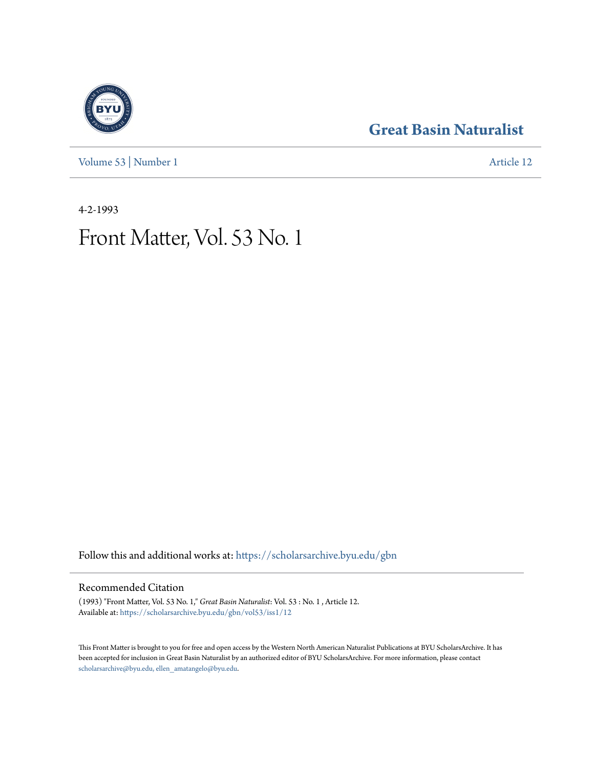**[Great Basin Naturalist](https://scholarsarchive.byu.edu/gbn?utm_source=scholarsarchive.byu.edu%2Fgbn%2Fvol53%2Fiss1%2F12&utm_medium=PDF&utm_campaign=PDFCoverPages)**

[Volume 53](https://scholarsarchive.byu.edu/gbn/vol53?utm_source=scholarsarchive.byu.edu%2Fgbn%2Fvol53%2Fiss1%2F12&utm_medium=PDF&utm_campaign=PDFCoverPages) | [Number 1](https://scholarsarchive.byu.edu/gbn/vol53/iss1?utm_source=scholarsarchive.byu.edu%2Fgbn%2Fvol53%2Fiss1%2F12&utm_medium=PDF&utm_campaign=PDFCoverPages) [Article 12](https://scholarsarchive.byu.edu/gbn/vol53/iss1/12?utm_source=scholarsarchive.byu.edu%2Fgbn%2Fvol53%2Fiss1%2F12&utm_medium=PDF&utm_campaign=PDFCoverPages)

4-2-1993

## Front Matter, Vol. 53 No. 1

Follow this and additional works at: [https://scholarsarchive.byu.edu/gbn](https://scholarsarchive.byu.edu/gbn?utm_source=scholarsarchive.byu.edu%2Fgbn%2Fvol53%2Fiss1%2F12&utm_medium=PDF&utm_campaign=PDFCoverPages)

### Recommended Citation

(1993) "Front Matter, Vol. 53 No. 1," *Great Basin Naturalist*: Vol. 53 : No. 1 , Article 12. Available at: [https://scholarsarchive.byu.edu/gbn/vol53/iss1/12](https://scholarsarchive.byu.edu/gbn/vol53/iss1/12?utm_source=scholarsarchive.byu.edu%2Fgbn%2Fvol53%2Fiss1%2F12&utm_medium=PDF&utm_campaign=PDFCoverPages)

This Front Matter is brought to you for free and open access by the Western North American Naturalist Publications at BYU ScholarsArchive. It has been accepted for inclusion in Great Basin Naturalist by an authorized editor of BYU ScholarsArchive. For more information, please contact [scholarsarchive@byu.edu, ellen\\_amatangelo@byu.edu.](mailto:scholarsarchive@byu.edu,%20ellen_amatangelo@byu.edu)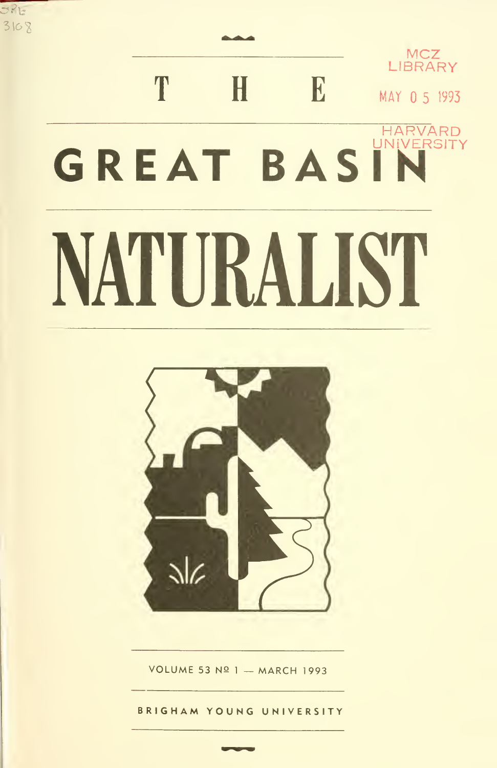# **LIBRARY** T H B MAY 0 5 1993 HARVARD<br>UNIVERSITY GREAT BASIN NATURALIST

MCZ<sub>w</sub>

 $3108$ 

 $335$ 



VOLUME 53 Nº 1 - MARCH 1993

BRIGHAM YOUNG UNIVERSITY